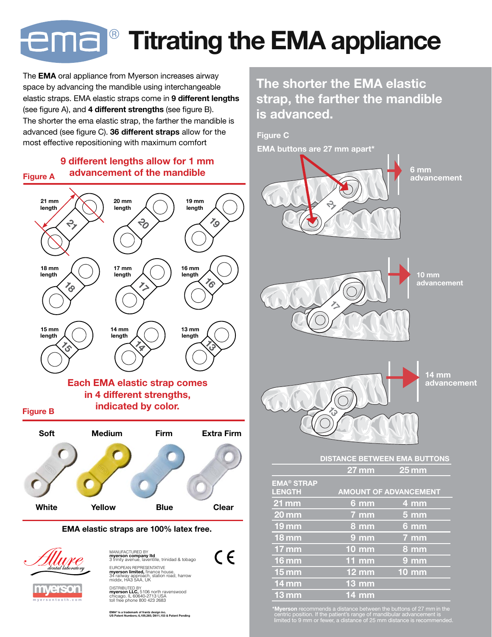## atınd Titrating the EMA appliance

The **EMA** oral appliance from Myerson increases airway<br>space by advancing the mandible using intershangeable space by advancing the mandible using interchangeable elastic straps. EMA elastic straps come in 9 different lengths (see figure A), and 4 different strengths (see figure B). The shorter the ema elastic strap, the farther the mandible is advanced (see figure C). 36 different straps allow for the most effective repositioning with maximum comfort

#### 9 different lengths allow for 1 mm Figure  $A$  advancement of the mandible



The shorter the EMA elastic strap, the farther the mandible is advanced.

Figure C EMA buttons are 27 mm apart\*



\*Myerson recommends a distance between the buttons of 27 mm in the centric position. If the patient's range of mandibular advancement is limited to 9 mm or fewer, a distance of 25 mm distance is recommended.

EMA® is a trademark of frantz design inc. US Patent Numbers; 6,109,265; D611,153 & Patent Pending